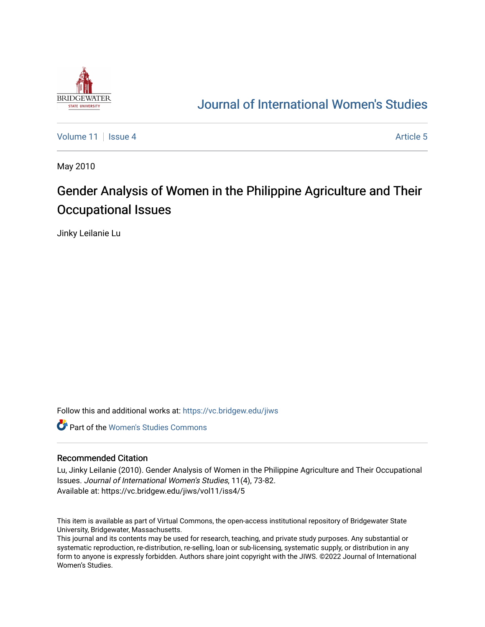

## [Journal of International Women's Studies](https://vc.bridgew.edu/jiws)

[Volume 11](https://vc.bridgew.edu/jiws/vol11) | [Issue 4](https://vc.bridgew.edu/jiws/vol11/iss4) Article 5

May 2010

# Gender Analysis of Women in the Philippine Agriculture and Their Occupational Issues

Jinky Leilanie Lu

Follow this and additional works at: [https://vc.bridgew.edu/jiws](https://vc.bridgew.edu/jiws?utm_source=vc.bridgew.edu%2Fjiws%2Fvol11%2Fiss4%2F5&utm_medium=PDF&utm_campaign=PDFCoverPages)

**C** Part of the Women's Studies Commons

#### Recommended Citation

Lu, Jinky Leilanie (2010). Gender Analysis of Women in the Philippine Agriculture and Their Occupational Issues. Journal of International Women's Studies, 11(4), 73-82. Available at: https://vc.bridgew.edu/jiws/vol11/iss4/5

This item is available as part of Virtual Commons, the open-access institutional repository of Bridgewater State University, Bridgewater, Massachusetts.

This journal and its contents may be used for research, teaching, and private study purposes. Any substantial or systematic reproduction, re-distribution, re-selling, loan or sub-licensing, systematic supply, or distribution in any form to anyone is expressly forbidden. Authors share joint copyright with the JIWS. ©2022 Journal of International Women's Studies.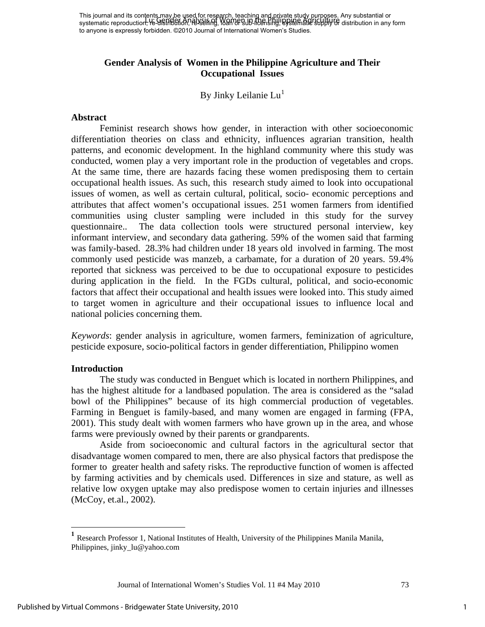## **Gender Analysis of Women in the Philippine Agriculture and Their Occupational Issues**

## By Jinky Leilanie Lu<sup>[1](#page-1-0)</sup>

#### **Abstract**

 Feminist research shows how gender, in interaction with other socioeconomic differentiation theories on class and ethnicity, influences agrarian transition, health patterns, and economic development. In the highland community where this study was conducted, women play a very important role in the production of vegetables and crops. At the same time, there are hazards facing these women predisposing them to certain occupational health issues. As such, this research study aimed to look into occupational issues of women, as well as certain cultural, political, socio- economic perceptions and attributes that affect women's occupational issues. 251 women farmers from identified communities using cluster sampling were included in this study for the survey questionnaire.. The data collection tools were structured personal interview, key informant interview, and secondary data gathering. 59% of the women said that farming was family-based. 28.3% had children under 18 years old involved in farming. The most commonly used pesticide was manzeb, a carbamate, for a duration of 20 years. 59.4% reported that sickness was perceived to be due to occupational exposure to pesticides during application in the field. In the FGDs cultural, political, and socio-economic factors that affect their occupational and health issues were looked into. This study aimed to target women in agriculture and their occupational issues to influence local and national policies concerning them.

*Keywords*: gender analysis in agriculture, women farmers, feminization of agriculture, pesticide exposure, socio-political factors in gender differentiation, Philippino women

#### **Introduction**

 $\overline{a}$ 

 The study was conducted in Benguet which is located in northern Philippines, and has the highest altitude for a landbased population. The area is considered as the "salad bowl of the Philippines" because of its high commercial production of vegetables. Farming in Benguet is family-based, and many women are engaged in farming (FPA, 2001). This study dealt with women farmers who have grown up in the area, and whose farms were previously owned by their parents or grandparents.

 Aside from socioeconomic and cultural factors in the agricultural sector that disadvantage women compared to men, there are also physical factors that predispose the former to greater health and safety risks. The reproductive function of women is affected by farming activities and by chemicals used. Differences in size and stature, as well as relative low oxygen uptake may also predispose women to certain injuries and illnesses (McCoy, et.al., 2002).

Journal of International Women's Studies Vol. 11 #4 May 2010 73

<span id="page-1-0"></span>**<sup>1</sup>** Research Professor 1, National Institutes of Health, University of the Philippines Manila Manila, Philippines, jinky lu@yahoo.com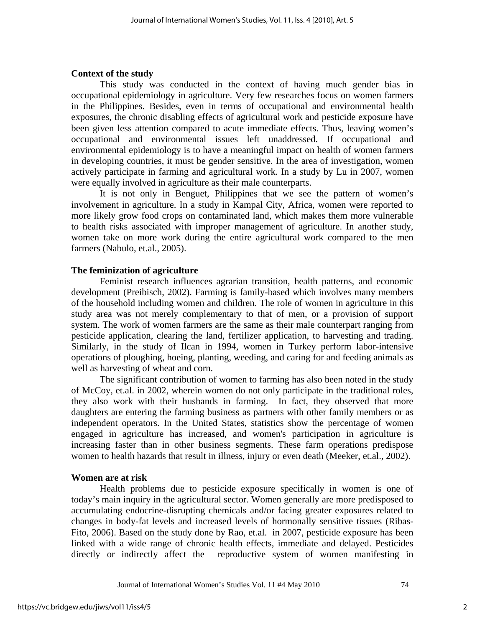#### **Context of the study**

 This study was conducted in the context of having much gender bias in occupational epidemiology in agriculture. Very few researches focus on women farmers in the Philippines. Besides, even in terms of occupational and environmental health exposures, the chronic disabling effects of agricultural work and pesticide exposure have been given less attention compared to acute immediate effects. Thus, leaving women's occupational and environmental issues left unaddressed. If occupational and environmental epidemiology is to have a meaningful impact on health of women farmers in developing countries, it must be gender sensitive. In the area of investigation, women actively participate in farming and agricultural work. In a study by Lu in 2007, women were equally involved in agriculture as their male counterparts.

It is not only in Benguet, Philippines that we see the pattern of women's involvement in agriculture. In a study in Kampal City, Africa, women were reported to more likely grow food crops on contaminated land, which makes them more vulnerable to health risks associated with improper management of agriculture. In another study, women take on more work during the entire agricultural work compared to the men farmers (Nabulo, et.al., 2005).

#### **The feminization of agriculture**

Feminist research influences agrarian transition, health patterns, and economic development (Preibisch, 2002). Farming is family-based which involves many members of the household including women and children. The role of women in agriculture in this study area was not merely complementary to that of men, or a provision of support system. The work of women farmers are the same as their male counterpart ranging from pesticide application, clearing the land, fertilizer application, to harvesting and trading. Similarly, in the study of Ilcan in 1994, women in Turkey perform labor-intensive operations of ploughing, hoeing, planting, weeding, and caring for and feeding animals as well as harvesting of wheat and corn.

 The significant contribution of women to farming has also been noted in the study of McCoy, et.al. in 2002, wherein women do not only participate in the traditional roles, they also work with their husbands in farming. In fact, they observed that more daughters are entering the farming business as partners with other family members or as independent operators. In the United States, statistics show the percentage of women engaged in agriculture has increased, and women's participation in agriculture is increasing faster than in other business segments. These farm operations predispose women to health hazards that result in illness, injury or even death (Meeker, et.al., 2002).

#### **Women are at risk**

 Health problems due to pesticide exposure specifically in women is one of today's main inquiry in the agricultural sector. Women generally are more predisposed to accumulating endocrine-disrupting chemicals and/or facing greater exposures related to changes in body-fat levels and increased levels of hormonally sensitive tissues (Ribas-Fito, 2006). Based on the study done by Rao, et.al. in 2007, pesticide exposure has been linked with a wide range of chronic health effects, immediate and delayed. Pesticides directly or indirectly affect the reproductive system of women manifesting in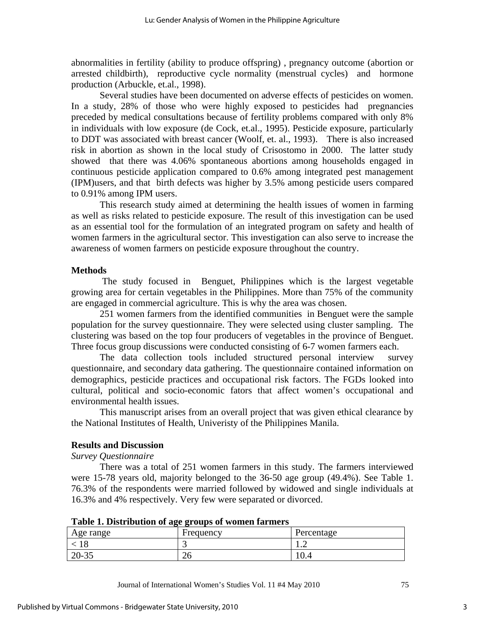abnormalities in fertility (ability to produce offspring) , pregnancy outcome (abortion or arrested childbirth), reproductive cycle normality (menstrual cycles) and hormone production (Arbuckle, et.al., 1998).

 Several studies have been documented on adverse effects of pesticides on women. In a study, 28% of those who were highly exposed to pesticides had pregnancies preceded by medical consultations because of fertility problems compared with only 8% in individuals with low exposure (de Cock, et.al., 1995). Pesticide exposure, particularly to DDT was associated with breast cancer (Woolf, et. al., 1993). There is also increased risk in abortion as shown in the local study of Crisostomo in 2000. The latter study showed that there was 4.06% spontaneous abortions among households engaged in continuous pesticide application compared to 0.6% among integrated pest management (IPM)users, and that birth defects was higher by 3.5% among pesticide users compared to 0.91% among IPM users.

 This research study aimed at determining the health issues of women in farming as well as risks related to pesticide exposure. The result of this investigation can be used as an essential tool for the formulation of an integrated program on safety and health of women farmers in the agricultural sector. This investigation can also serve to increase the awareness of women farmers on pesticide exposure throughout the country.

#### **Methods**

 The study focused in Benguet, Philippines which is the largest vegetable growing area for certain vegetables in the Philippines. More than 75% of the community are engaged in commercial agriculture. This is why the area was chosen.

 251 women farmers from the identified communities in Benguet were the sample population for the survey questionnaire. They were selected using cluster sampling. The clustering was based on the top four producers of vegetables in the province of Benguet. Three focus group discussions were conducted consisting of 6-7 women farmers each.

 The data collection tools included structured personal interview survey questionnaire, and secondary data gathering. The questionnaire contained information on demographics, pesticide practices and occupational risk factors. The FGDs looked into cultural, political and socio-economic fators that affect women's occupational and environmental health issues.

 This manuscript arises from an overall project that was given ethical clearance by the National Institutes of Health, Univeristy of the Philippines Manila.

## **Results and Discussion**

*Survey Questionnaire* 

 There was a total of 251 women farmers in this study. The farmers interviewed were 15-78 years old, majority belonged to the 36-50 age group (49.4%). See Table 1. 76.3% of the respondents were married followed by widowed and single individuals at 16.3% and 4% respectively. Very few were separated or divorced.

| THEIR IS DESCRIPTION OF REV ELOWSE OF HOMES IMPRISED. |           |            |
|-------------------------------------------------------|-----------|------------|
| Age range                                             | Frequency | Percentage |
|                                                       |           | .          |
| $20 - 35$                                             | 26        | .U.4       |

**Table 1. Distribution of age groups of women farmers**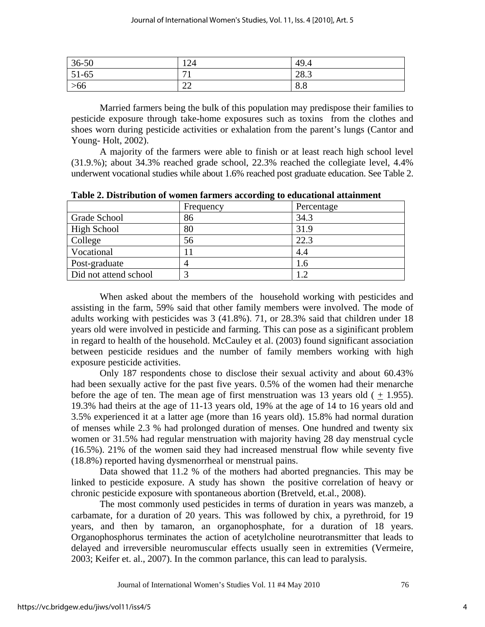| $36 - 50$ | $1 \cap A$<br>144                     | 49.4 |
|-----------|---------------------------------------|------|
| $51 - 65$ | $-11$<br>. .                          | 28.3 |
| >66       | $\bigcap$<br>$\overline{\phantom{a}}$ | 8.8  |

 Married farmers being the bulk of this population may predispose their families to pesticide exposure through take-home exposures such as toxins from the clothes and shoes worn during pesticide activities or exhalation from the parent's lungs (Cantor and Young- Holt, 2002).

 A majority of the farmers were able to finish or at least reach high school level (31.9.%); about 34.3% reached grade school, 22.3% reached the collegiate level, 4.4% underwent vocational studies while about 1.6% reached post graduate education. See Table 2.

|                       | Frequency  | Percentage |
|-----------------------|------------|------------|
| Grade School          | 86         | 34.3       |
| <b>High School</b>    | 80         | 31.9       |
| College               | 56         | 22.3       |
| Vocational            | l 1        | 4.4        |
| Post-graduate         |            | 1.6        |
| Did not attend school | $\sqrt{2}$ | $\cdot$ .2 |

**Table 2. Distribution of women farmers according to educational attainment** 

 When asked about the members of the household working with pesticides and assisting in the farm, 59% said that other family members were involved. The mode of adults working with pesticides was 3 (41.8%). 71, or 28.3% said that children under 18 years old were involved in pesticide and farming. This can pose as a siginificant problem in regard to health of the household. McCauley et al. (2003) found significant association between pesticide residues and the number of family members working with high exposure pesticide activities.

 Only 187 respondents chose to disclose their sexual activity and about 60.43% had been sexually active for the past five years. 0.5% of the women had their menarche before the age of ten. The mean age of first menstruation was 13 years old  $(+1.955)$ . 19.3% had theirs at the age of 11-13 years old, 19% at the age of 14 to 16 years old and 3.5% experienced it at a latter age (more than 16 years old). 15.8% had normal duration of menses while 2.3 % had prolonged duration of menses. One hundred and twenty six women or 31.5% had regular menstruation with majority having 28 day menstrual cycle (16.5%). 21% of the women said they had increased menstrual flow while seventy five (18.8%) reported having dysmenorrheal or menstrual pains.

 Data showed that 11.2 % of the mothers had aborted pregnancies. This may be linked to pesticide exposure. A study has shown the positive correlation of heavy or chronic pesticide exposure with spontaneous abortion (Bretveld, et.al., 2008).

 The most commonly used pesticides in terms of duration in years was manzeb, a carbamate, for a duration of 20 years. This was followed by chix, a pyrethroid, for 19 years, and then by tamaron, an organophosphate, for a duration of 18 years. Organophosphorus terminates the action of acetylcholine neurotransmitter that leads to delayed and irreversible neuromuscular effects usually seen in extremities (Vermeire, 2003; Keifer et. al., 2007). In the common parlance, this can lead to paralysis.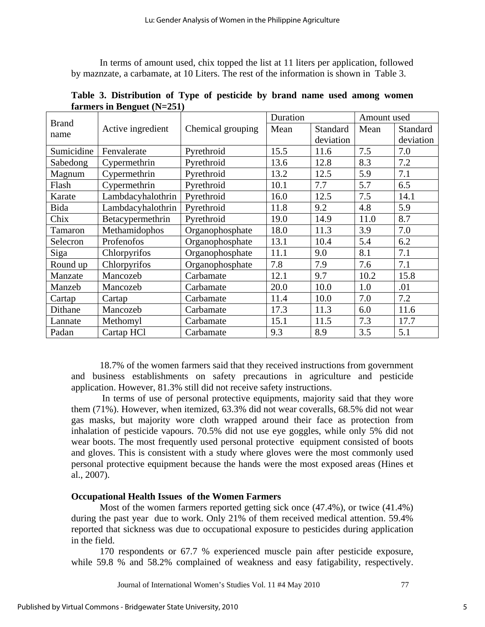In terms of amount used, chix topped the list at 11 liters per application, followed by maznzate, a carbamate, at 10 Liters. The rest of the information is shown in Table 3.

| <b>Brand</b> |                   |                   | Duration |           | Amount used |           |
|--------------|-------------------|-------------------|----------|-----------|-------------|-----------|
|              | Active ingredient | Chemical grouping | Mean     | Standard  | Mean        | Standard  |
| name         |                   |                   |          | deviation |             | deviation |
| Sumicidine   | Fenvalerate       | Pyrethroid        | 15.5     | 11.6      | 7.5         | 7.0       |
| Sabedong     | Cypermethrin      | Pyrethroid        | 13.6     | 12.8      | 8.3         | 7.2       |
| Magnum       | Cypermethrin      | Pyrethroid        | 13.2     | 12.5      | 5.9         | 7.1       |
| Flash        | Cypermethrin      | Pyrethroid        | 10.1     | 7.7       | 5.7         | 6.5       |
| Karate       | Lambdacyhalothrin | Pyrethroid        | 16.0     | 12.5      | 7.5         | 14.1      |
| Bida         | Lambdacyhalothrin | Pyrethroid        | 11.8     | 9.2       | 4.8         | 5.9       |
| Chix         | Betacypermethrin  | Pyrethroid        | 19.0     | 14.9      | 11.0        | 8.7       |
| Tamaron      | Methamidophos     | Organophosphate   | 18.0     | 11.3      | 3.9         | 7.0       |
| Selecron     | Profenofos        | Organophosphate   | 13.1     | 10.4      | 5.4         | 6.2       |
| Siga         | Chlorpyrifos      | Organophosphate   | 11.1     | 9.0       | 8.1         | 7.1       |
| Round up     | Chlorpyrifos      | Organophosphate   | 7.8      | 7.9       | 7.6         | 7.1       |
| Manzate      | Mancozeb          | Carbamate         | 12.1     | 9.7       | 10.2        | 15.8      |
| Manzeb       | Mancozeb          | Carbamate         | 20.0     | 10.0      | 1.0         | .01       |
| Cartap       | Cartap            | Carbamate         | 11.4     | 10.0      | 7.0         | 7.2       |
| Dithane      | Mancozeb          | Carbamate         | 17.3     | 11.3      | 6.0         | 11.6      |
| Lannate      | Methomyl          | Carbamate         | 15.1     | 11.5      | 7.3         | 17.7      |
| Padan        | Cartap HCl        | Carbamate         | 9.3      | 8.9       | 3.5         | 5.1       |

**Table 3. Distribution of Type of pesticide by brand name used among women farmers in Benguet (N=251)** 

 18.7% of the women farmers said that they received instructions from government and business establishments on safety precautions in agriculture and pesticide application. However, 81.3% still did not receive safety instructions.

 In terms of use of personal protective equipments, majority said that they wore them (71%). However, when itemized, 63.3% did not wear coveralls, 68.5% did not wear gas masks, but majority wore cloth wrapped around their face as protection from inhalation of pesticide vapours. 70.5% did not use eye goggles, while only 5% did not wear boots. The most frequently used personal protective equipment consisted of boots and gloves. This is consistent with a study where gloves were the most commonly used personal protective equipment because the hands were the most exposed areas (Hines et al., 2007).

## **Occupational Health Issues of the Women Farmers**

 Most of the women farmers reported getting sick once (47.4%), or twice (41.4%) during the past year due to work. Only 21% of them received medical attention. 59.4% reported that sickness was due to occupational exposure to pesticides during application in the field.

 170 respondents or 67.7 % experienced muscle pain after pesticide exposure, while 59.8 % and 58.2% complained of weakness and easy fatigability, respectively.

Journal of International Women's Studies Vol. 11 #4 May 2010 77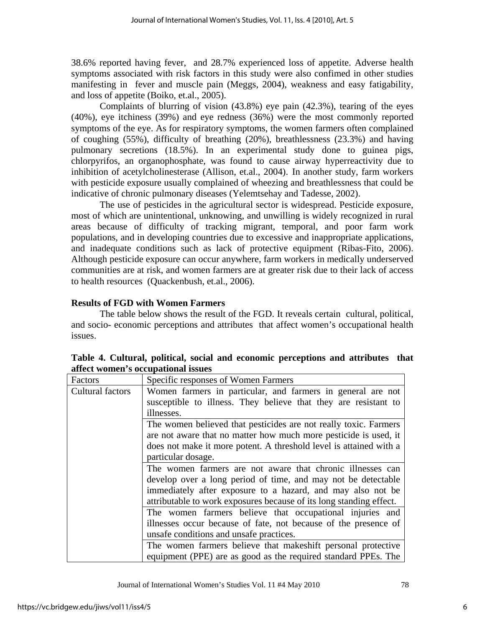38.6% reported having fever, and 28.7% experienced loss of appetite. Adverse health symptoms associated with risk factors in this study were also confimed in other studies manifesting in fever and muscle pain (Meggs, 2004), weakness and easy fatigability, and loss of appetite (Boiko, et.al., 2005).

 Complaints of blurring of vision (43.8%) eye pain (42.3%), tearing of the eyes (40%), eye itchiness (39%) and eye redness (36%) were the most commonly reported symptoms of the eye. As for respiratory symptoms, the women farmers often complained of coughing (55%), difficulty of breathing (20%), breathlessness (23.3%) and having pulmonary secretions (18.5%). In an experimental study done to guinea pigs, chlorpyrifos, an organophosphate, was found to cause airway hyperreactivity due to inhibition of acetylcholinesterase (Allison, et.al., 2004). In another study, farm workers with pesticide exposure usually complained of wheezing and breathlessness that could be indicative of chronic pulmonary diseases (Yelemtsehay and Tadesse, 2002).

 The use of pesticides in the agricultural sector is widespread. Pesticide exposure, most of which are unintentional, unknowing, and unwilling is widely recognized in rural areas because of difficulty of tracking migrant, temporal, and poor farm work populations, and in developing countries due to excessive and inappropriate applications, and inadequate conditions such as lack of protective equipment (Ribas-Fito, 2006). Although pesticide exposure can occur anywhere, farm workers in medically underserved communities are at risk, and women farmers are at greater risk due to their lack of access to health resources (Quackenbush, et.al., 2006).

## **Results of FGD with Women Farmers**

 The table below shows the result of the FGD. It reveals certain cultural, political, and socio- economic perceptions and attributes that affect women's occupational health issues.

| Factors          | Specific responses of Women Farmers                                 |  |
|------------------|---------------------------------------------------------------------|--|
| Cultural factors | Women farmers in particular, and farmers in general are not         |  |
|                  | susceptible to illness. They believe that they are resistant to     |  |
|                  | illnesses.                                                          |  |
|                  | The women believed that pesticides are not really toxic. Farmers    |  |
|                  | are not aware that no matter how much more pesticide is used, it    |  |
|                  | does not make it more potent. A threshold level is attained with a  |  |
|                  | particular dosage.                                                  |  |
|                  | The women farmers are not aware that chronic illnesses can          |  |
|                  | develop over a long period of time, and may not be detectable       |  |
|                  | immediately after exposure to a hazard, and may also not be         |  |
|                  | attributable to work exposures because of its long standing effect. |  |
|                  | The women farmers believe that occupational injuries and            |  |
|                  | illnesses occur because of fate, not because of the presence of     |  |
|                  | unsafe conditions and unsafe practices.                             |  |
|                  | The women farmers believe that makeshift personal protective        |  |
|                  | equipment (PPE) are as good as the required standard PPEs. The      |  |

| Table 4. Cultural, political, social and economic perceptions and attributes that |  |
|-----------------------------------------------------------------------------------|--|
| affect women's occupational issues                                                |  |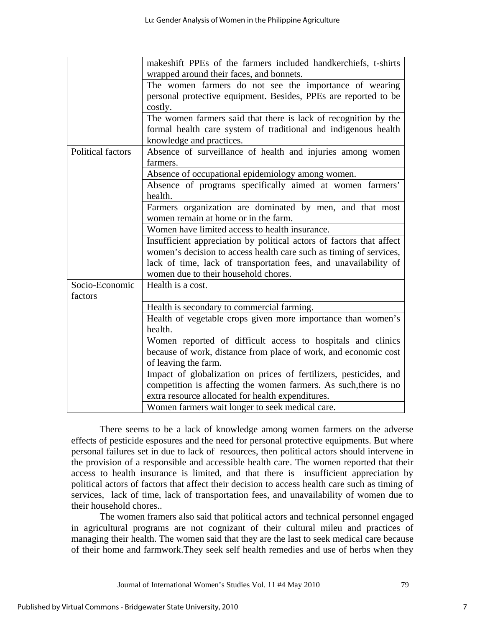|                          | makeshift PPEs of the farmers included handkerchiefs, t-shirts       |  |
|--------------------------|----------------------------------------------------------------------|--|
|                          | wrapped around their faces, and bonnets.                             |  |
|                          | The women farmers do not see the importance of wearing               |  |
|                          | personal protective equipment. Besides, PPEs are reported to be      |  |
|                          | costly.                                                              |  |
|                          | The women farmers said that there is lack of recognition by the      |  |
|                          | formal health care system of traditional and indigenous health       |  |
|                          | knowledge and practices.                                             |  |
| <b>Political factors</b> | Absence of surveillance of health and injuries among women           |  |
|                          | farmers.                                                             |  |
|                          | Absence of occupational epidemiology among women.                    |  |
|                          | Absence of programs specifically aimed at women farmers'             |  |
|                          | health.                                                              |  |
|                          | Farmers organization are dominated by men, and that most             |  |
|                          | women remain at home or in the farm.                                 |  |
|                          | Women have limited access to health insurance.                       |  |
|                          | Insufficient appreciation by political actors of factors that affect |  |
|                          | women's decision to access health care such as timing of services,   |  |
|                          | lack of time, lack of transportation fees, and unavailability of     |  |
|                          | women due to their household chores.                                 |  |
| Socio-Economic           | Health is a cost.                                                    |  |
| factors                  |                                                                      |  |
|                          | Health is secondary to commercial farming.                           |  |
|                          | Health of vegetable crops given more importance than women's         |  |
|                          | health.                                                              |  |
|                          | Women reported of difficult access to hospitals and clinics          |  |
|                          | because of work, distance from place of work, and economic cost      |  |
|                          | of leaving the farm.                                                 |  |
|                          | Impact of globalization on prices of fertilizers, pesticides, and    |  |
|                          | competition is affecting the women farmers. As such, there is no     |  |
|                          | extra resource allocated for health expenditures.                    |  |
|                          | Women farmers wait longer to seek medical care.                      |  |

 There seems to be a lack of knowledge among women farmers on the adverse effects of pesticide esposures and the need for personal protective equipments. But where personal failures set in due to lack of resources, then political actors should intervene in the provision of a responsible and accessible health care. The women reported that their access to health insurance is limited, and that there is insufficient appreciation by political actors of factors that affect their decision to access health care such as timing of services, lack of time, lack of transportation fees, and unavailability of women due to their household chores..

 The women framers also said that political actors and technical personnel engaged in agricultural programs are not cognizant of their cultural mileu and practices of managing their health. The women said that they are the last to seek medical care because of their home and farmwork.They seek self health remedies and use of herbs when they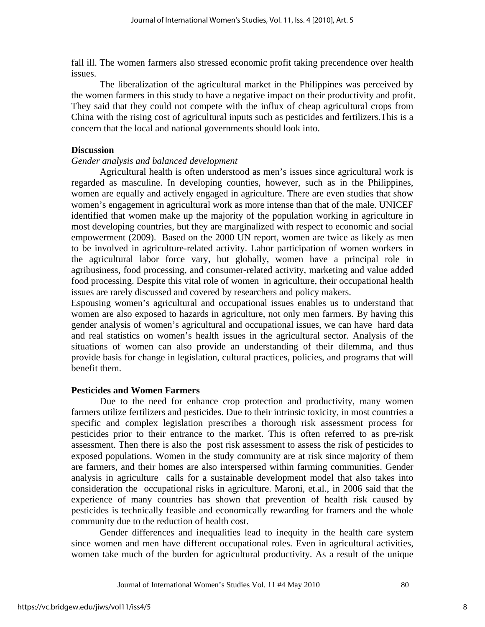fall ill. The women farmers also stressed economic profit taking precendence over health issues.

 The liberalization of the agricultural market in the Philippines was perceived by the women farmers in this study to have a negative impact on their productivity and profit. They said that they could not compete with the influx of cheap agricultural crops from China with the rising cost of agricultural inputs such as pesticides and fertilizers.This is a concern that the local and national governments should look into.

#### **Discussion**

#### *Gender analysis and balanced development*

Agricultural health is often understood as men's issues since agricultural work is regarded as masculine. In developing counties, however, such as in the Philippines, women are equally and actively engaged in agriculture. There are even studies that show women's engagement in agricultural work as more intense than that of the male. UNICEF identified that women make up the majority of the population working in agriculture in most developing countries, but they are marginalized with respect to economic and social empowerment (2009). Based on the 2000 UN report, women are twice as likely as men to be involved in agriculture-related activity. Labor participation of women workers in the agricultural labor force vary, but globally, women have a principal role in agribusiness, food processing, and consumer-related activity, marketing and value added food processing. Despite this vital role of women in agriculture, their occupational health issues are rarely discussed and covered by researchers and policy makers.

Espousing women's agricultural and occupational issues enables us to understand that women are also exposed to hazards in agriculture, not only men farmers. By having this gender analysis of women's agricultural and occupational issues, we can have hard data and real statistics on women's health issues in the agricultural sector. Analysis of the situations of women can also provide an understanding of their dilemma, and thus provide basis for change in legislation, cultural practices, policies, and programs that will benefit them.

#### **Pesticides and Women Farmers**

Due to the need for enhance crop protection and productivity, many women farmers utilize fertilizers and pesticides. Due to their intrinsic toxicity, in most countries a specific and complex legislation prescribes a thorough risk assessment process for pesticides prior to their entrance to the market. This is often referred to as pre-risk assessment. Then there is also the post risk assessment to assess the risk of pesticides to exposed populations. Women in the study community are at risk since majority of them are farmers, and their homes are also interspersed within farming communities. Gender analysis in agriculture calls for a sustainable development model that also takes into consideration the occupational risks in agriculture. Maroni, et.al., in 2006 said that the experience of many countries has shown that prevention of health risk caused by pesticides is technically feasible and economically rewarding for framers and the whole community due to the reduction of health cost.

 Gender differences and inequalities lead to inequity in the health care system since women and men have different occupational roles. Even in agricultural activities, women take much of the burden for agricultural productivity. As a result of the unique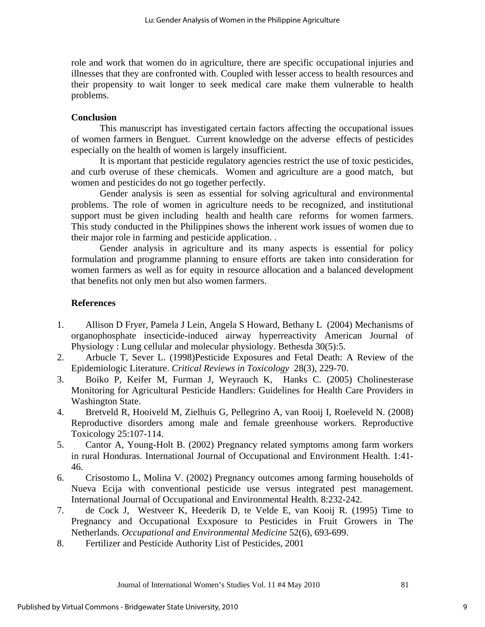role and work that women do in agriculture, there are specific occupational injuries and illnesses that they are confronted with. Coupled with lesser access to health resources and their propensity to wait longer to seek medical care make them vulnerable to health problems.

## **Conclusion**

 This manuscript has investigated certain factors affecting the occupational issues of women farmers in Benguet. Current knowledge on the adverse effects of pesticides especially on the health of women is largely insufficient.

 It is mportant that pesticide regulatory agencies restrict the use of toxic pesticides, and curb overuse of these chemicals. Women and agriculture are a good match, but women and pesticides do not go together perfectly.

 Gender analysis is seen as essential for solving agricultural and environmental problems. The role of women in agriculture needs to be recognized, and institutional support must be given including health and health care reforms for women farmers. This study conducted in the Philippines shows the inherent work issues of women due to their major role in farming and pesticide application. .

 Gender analysis in agriculture and its many aspects is essential for policy formulation and programme planning to ensure efforts are taken into consideration for women farmers as well as for equity in resource allocation and a balanced development that benefits not only men but also women farmers.

## **References**

- 1. [Allison D Fryer](javascript:void(0);)*,* [Pamela J Lein](javascript:void(0);)*,* [Angela S Howard](javascript:void(0);)*,* [Bethany L](javascript:void(0);) (2004) Mechanisms of organophosphate insecticide-induced airway hyperreactivity American Journal of Physiology : Lung cellular and molecular physiology. Bethesda 30(5):5.
- 2. Arbucle T, Sever L. (1998)Pesticide Exposures and Fetal Death: A Review of the Epidemiologic Literature. *Critical Reviews in Toxicology* 28(3), 229-70.
- 3. Boiko P, Keifer M, Furman J, Weyrauch K, Hanks C. (2005) Cholinesterase Monitoring for Agricultural Pesticide Handlers: Guidelines for Health Care Providers in Washington State.
- 4. Bretveld R, Hooiveld M, Zielhuis G, Pellegrino A, van Rooij I, Roeleveld N. (2008) Reproductive disorders among male and female greenhouse workers. Reproductive Toxicology 25:107-114.
- 5. Cantor A, Young-Holt B. (2002) Pregnancy related symptoms among farm workers in rural Honduras. International Journal of Occupational and Environment Health. 1:41- 46.
- 6. Crisostomo L, Molina V. (2002) Pregnancy outcomes among farming households of Nueva Ecija with conventional pesticide use versus integrated pest management. International Journal of Occupational and Environmental Health. 8:232-242.
- 7. de Cock J, Westveer K, Heederik D, te Velde E, van Kooij R. (1995) Time to Pregnancy and Occupational Exxposure to Pesticides in Fruit Growers in The Netherlands. *Occupational and Environmental Medicine* 52(6), 693-699.
- 8. Fertilizer and Pesticide Authority List of Pesticides, 2001